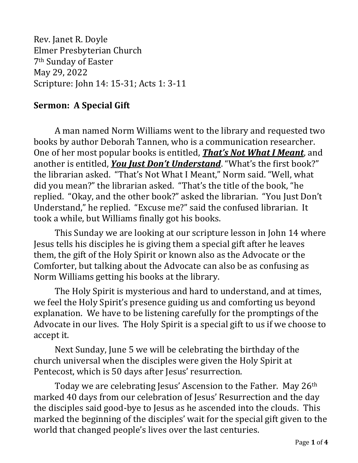Rev. Janet R. Doyle Elmer Presbyterian Church 7th Sunday of Easter May 29, 2022 Scripture: John 14: 15-31; Acts 1: 3-11

## **Sermon: A Special Gift**

A man named Norm Williams went to the library and requested two books by author Deborah Tannen, who is a communication researcher. One of her most popular books is entitled, *That's Not What I Meant*, and another is entitled, *You Just Don't Understand*. "What's the first book?" the librarian asked. "That's Not What I Meant," Norm said. "Well, what did you mean?" the librarian asked. "That's the title of the book, "he replied. "Okay, and the other book?" asked the librarian. "You Just Don't Understand," he replied. "Excuse me?" said the confused librarian. It took a while, but Williams finally got his books.

This Sunday we are looking at our scripture lesson in John 14 where Jesus tells his disciples he is giving them a special gift after he leaves them, the gift of the Holy Spirit or known also as the Advocate or the Comforter, but talking about the Advocate can also be as confusing as Norm Williams getting his books at the library.

The Holy Spirit is mysterious and hard to understand, and at times, we feel the Holy Spirit's presence guiding us and comforting us beyond explanation. We have to be listening carefully for the promptings of the Advocate in our lives. The Holy Spirit is a special gift to us if we choose to accept it.

Next Sunday, June 5 we will be celebrating the birthday of the church universal when the disciples were given the Holy Spirit at Pentecost, which is 50 days after Jesus' resurrection.

Today we are celebrating Jesus' Ascension to the Father. May 26<sup>th</sup> marked 40 days from our celebration of Jesus' Resurrection and the day the disciples said good-bye to Jesus as he ascended into the clouds. This marked the beginning of the disciples' wait for the special gift given to the world that changed people's lives over the last centuries.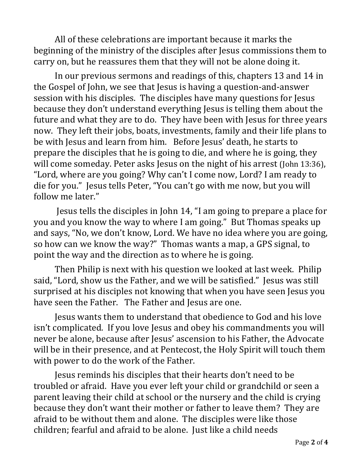All of these celebrations are important because it marks the beginning of the ministry of the disciples after Jesus commissions them to carry on, but he reassures them that they will not be alone doing it.

In our previous sermons and readings of this, chapters 13 and 14 in the Gospel of John, we see that Jesus is having a question-and-answer session with his disciples. The disciples have many questions for Jesus because they don't understand everything Jesus is telling them about the future and what they are to do. They have been with Jesus for three years now. They left their jobs, boats, investments, family and their life plans to be with Jesus and learn from him. Before Jesus' death, he starts to prepare the disciples that he is going to die, and where he is going, they will come someday. Peter asks Jesus on the night of his arrest (John 13:36), "Lord, where are you going? Why can't I come now, Lord? I am ready to die for you." Jesus tells Peter, "You can't go with me now, but you will follow me later."

Jesus tells the disciples in John 14, "I am going to prepare a place for you and you know the way to where I am going." But Thomas speaks up and says, "No, we don't know, Lord. We have no idea where you are going, so how can we know the way?" Thomas wants a map, a GPS signal, to point the way and the direction as to where he is going.

Then Philip is next with his question we looked at last week. Philip said, "Lord, show us the Father, and we will be satisfied." Jesus was still surprised at his disciples not knowing that when you have seen Jesus you have seen the Father. The Father and Jesus are one.

Jesus wants them to understand that obedience to God and his love isn't complicated. If you love Jesus and obey his commandments you will never be alone, because after Jesus' ascension to his Father, the Advocate will be in their presence, and at Pentecost, the Holy Spirit will touch them with power to do the work of the Father.

Jesus reminds his disciples that their hearts don't need to be troubled or afraid. Have you ever left your child or grandchild or seen a parent leaving their child at school or the nursery and the child is crying because they don't want their mother or father to leave them? They are afraid to be without them and alone. The disciples were like those children; fearful and afraid to be alone. Just like a child needs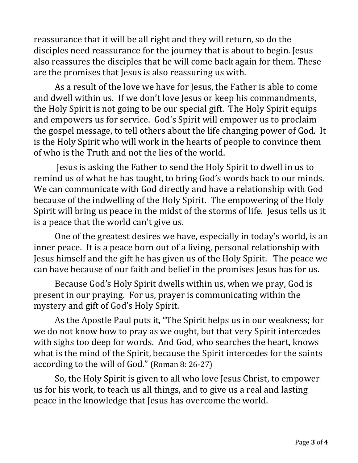reassurance that it will be all right and they will return, so do the disciples need reassurance for the journey that is about to begin. Jesus also reassures the disciples that he will come back again for them. These are the promises that Jesus is also reassuring us with.

As a result of the love we have for Jesus, the Father is able to come and dwell within us. If we don't love Jesus or keep his commandments, the Holy Spirit is not going to be our special gift. The Holy Spirit equips and empowers us for service. God's Spirit will empower us to proclaim the gospel message, to tell others about the life changing power of God. It is the Holy Spirit who will work in the hearts of people to convince them of who is the Truth and not the lies of the world.

Jesus is asking the Father to send the Holy Spirit to dwell in us to remind us of what he has taught, to bring God's words back to our minds. We can communicate with God directly and have a relationship with God because of the indwelling of the Holy Spirit. The empowering of the Holy Spirit will bring us peace in the midst of the storms of life. Jesus tells us it is a peace that the world can't give us.

One of the greatest desires we have, especially in today's world, is an inner peace. It is a peace born out of a living, personal relationship with Jesus himself and the gift he has given us of the Holy Spirit. The peace we can have because of our faith and belief in the promises Jesus has for us.

Because God's Holy Spirit dwells within us, when we pray, God is present in our praying. For us, prayer is communicating within the mystery and gift of God's Holy Spirit.

As the Apostle Paul puts it, "The Spirit helps us in our weakness; for we do not know how to pray as we ought, but that very Spirit intercedes with sighs too deep for words. And God, who searches the heart, knows what is the mind of the Spirit, because the Spirit intercedes for the saints according to the will of God." (Roman 8: 26-27)

So, the Holy Spirit is given to all who love Jesus Christ, to empower us for his work, to teach us all things, and to give us a real and lasting peace in the knowledge that Jesus has overcome the world.